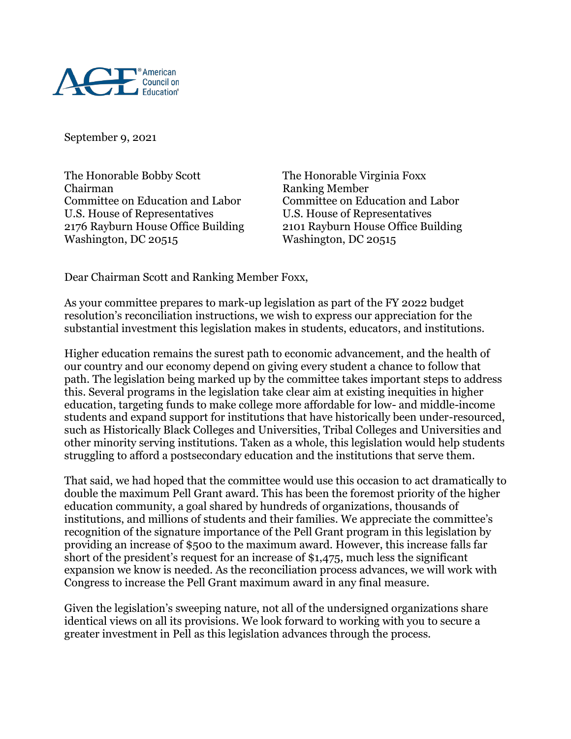

September 9, 2021

The Honorable Bobby Scott The Honorable Virginia Foxx Chairman Ranking Member Committee on Education and Labor Committee on Education and Labor U.S. House of Representatives U.S. House of Representatives 2176 Rayburn House Office Building 2101 Rayburn House Office Building Washington, DC 20515

Dear Chairman Scott and Ranking Member Foxx,

As your committee prepares to mark-up legislation as part of the FY 2022 budget resolution's reconciliation instructions, we wish to express our appreciation for the substantial investment this legislation makes in students, educators, and institutions.

Higher education remains the surest path to economic advancement, and the health of our country and our economy depend on giving every student a chance to follow that path. The legislation being marked up by the committee takes important steps to address this. Several programs in the legislation take clear aim at existing inequities in higher education, targeting funds to make college more affordable for low- and middle-income students and expand support for institutions that have historically been under-resourced, such as Historically Black Colleges and Universities, Tribal Colleges and Universities and other minority serving institutions. Taken as a whole, this legislation would help students struggling to afford a postsecondary education and the institutions that serve them.

That said, we had hoped that the committee would use this occasion to act dramatically to double the maximum Pell Grant award. This has been the foremost priority of the higher education community, a goal shared by hundreds of organizations, thousands of institutions, and millions of students and their families. We appreciate the committee's recognition of the signature importance of the Pell Grant program in this legislation by providing an increase of \$500 to the maximum award. However, this increase falls far short of the president's request for an increase of \$1,475, much less the significant expansion we know is needed. As the reconciliation process advances, we will work with Congress to increase the Pell Grant maximum award in any final measure.

Given the legislation's sweeping nature, not all of the undersigned organizations share identical views on all its provisions. We look forward to working with you to secure a greater investment in Pell as this legislation advances through the process.